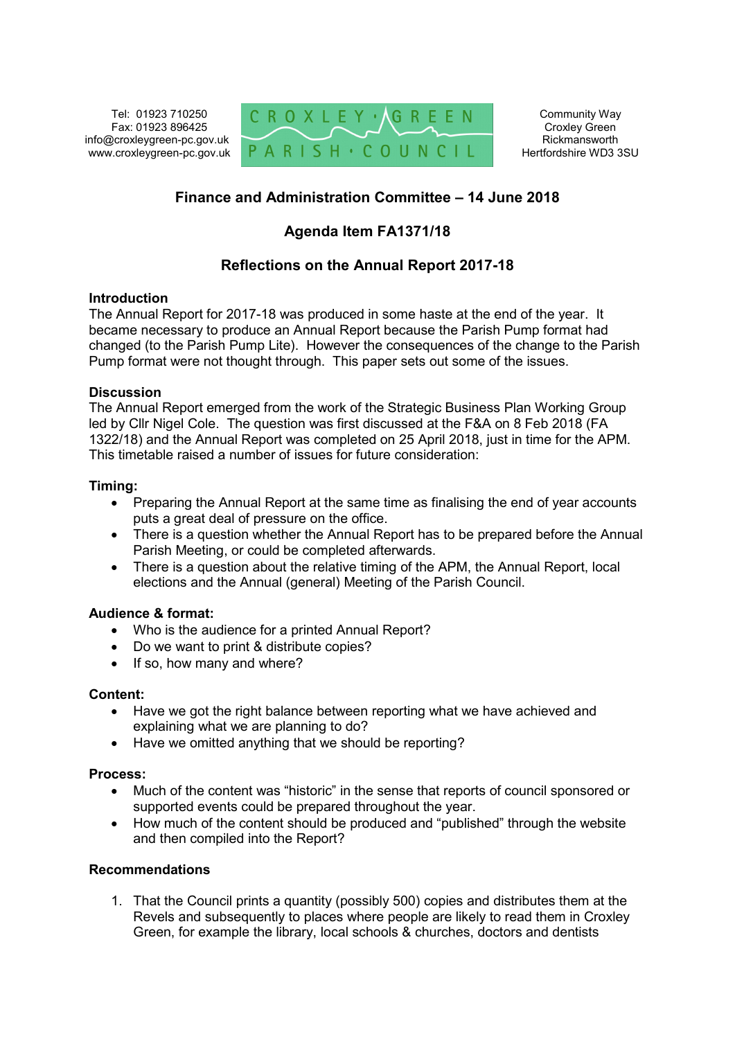Tel: 01923 710250 Fax: 01923 896425 info@croxleygreen-pc.gov.uk www.croxleygreen-pc.gov.uk



Community Way Croxley Green Rickmansworth Hertfordshire WD3 3SU

# **Finance and Administration Committee – 14 June 2018**

## **Agenda Item FA1371/18**

## **Reflections on the Annual Report 2017-18**

### **Introduction**

The Annual Report for 2017-18 was produced in some haste at the end of the year. It became necessary to produce an Annual Report because the Parish Pump format had changed (to the Parish Pump Lite). However the consequences of the change to the Parish Pump format were not thought through. This paper sets out some of the issues.

### **Discussion**

The Annual Report emerged from the work of the Strategic Business Plan Working Group led by Cllr Nigel Cole. The question was first discussed at the F&A on 8 Feb 2018 (FA 1322/18) and the Annual Report was completed on 25 April 2018, just in time for the APM. This timetable raised a number of issues for future consideration:

### **Timing:**

- Preparing the Annual Report at the same time as finalising the end of year accounts puts a great deal of pressure on the office.
- There is a question whether the Annual Report has to be prepared before the Annual Parish Meeting, or could be completed afterwards.
- There is a question about the relative timing of the APM, the Annual Report, local elections and the Annual (general) Meeting of the Parish Council.

### **Audience & format:**

- Who is the audience for a printed Annual Report?
- Do we want to print & distribute copies?
- $\bullet$  If so, how many and where?

#### **Content:**

- Have we got the right balance between reporting what we have achieved and explaining what we are planning to do?
- Have we omitted anything that we should be reporting?

### **Process:**

- Much of the content was "historic" in the sense that reports of council sponsored or supported events could be prepared throughout the year.
- How much of the content should be produced and "published" through the website and then compiled into the Report?

#### **Recommendations**

1. That the Council prints a quantity (possibly 500) copies and distributes them at the Revels and subsequently to places where people are likely to read them in Croxley Green, for example the library, local schools & churches, doctors and dentists